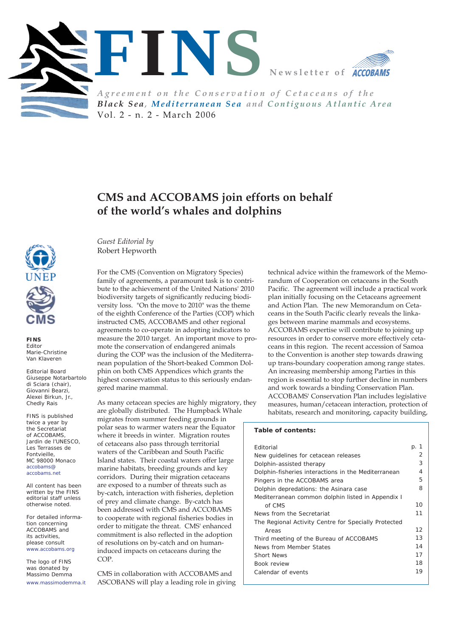



*Agreement on the Conservation of Cetaceans of the Black Sea, Mediterranean Sea and Contiguous Atlantic Area* Vol. 2 - n. 2 - March 2006

# **CMS and ACCOBAMS join efforts on behalf of the world's whales and dolphins**



**FINS** *Editor* Marie-Christine Van Klaveren

*Editorial Board* Giuseppe Notarbartolo di Sciara (chair), Giovanni Bearzi, Alexei Birkun, Jr., Chedly Rais

FINS is published twice a year by the Secretariat of ACCOBAMS, Jardin de l'UNESCO, Les Terrasses de Fontvieille, MC 98000 Monaco accobams@ accobams.net

All content has been written by the FINS editorial staff unless otherwise noted.

For detailed information concerning ACCOBAMS and its activities, please consult www.accobams.org

The logo of FINS was donated by Massimo Demma www.massimodemma.it

*Guest Editorial by*  Robert Hepworth

For the CMS (Convention on Migratory Species) family of agreements, a paramount task is to contribute to the achievement of the United Nations' 2010 biodiversity targets of significantly reducing biodiversity loss. "On the move to 2010" was the theme of the eighth Conference of the Parties (COP) which instructed CMS, ACCOBAMS and other regional agreements to co-operate in adopting indicators to measure the 2010 target. An important move to promote the conservation of endangered animals during the COP was the inclusion of the Mediterranean population of the Short-beaked Common Dolphin on both CMS Appendices which grants the highest conservation status to this seriously endangered marine mammal.

As many cetacean species are highly migratory, they are globally distributed. The Humpback Whale migrates from summer feeding grounds in polar seas to warmer waters near the Equator where it breeds in winter. Migration routes of cetaceans also pass through territorial waters of the Caribbean and South Pacific Island states. Their coastal waters offer large marine habitats, breeding grounds and key corridors. During their migration cetaceans are exposed to a number of threats such as by-catch, interaction with fisheries, depletion of prey and climate change. By-catch has been addressed with CMS and ACCOBAMS to cooperate with regional fisheries bodies in order to mitigate the threat. CMS' enhanced commitment is also reflected in the adoption of resolutions on by-catch and on humaninduced impacts on cetaceans during the COP.

CMS in collaboration with ACCOBAMS and ASCOBANS will play a leading role in giving

technical advice within the framework of the Memorandum of Cooperation on cetaceans in the South Pacific. The agreement will include a practical work plan initially focusing on the Cetaceans agreement and Action Plan. The new Memorandum on Cetaceans in the South Pacific clearly reveals the linkages between marine mammals and ecosystems. ACCOBAMS expertise will contribute to joining up resources in order to conserve more effectively cetaceans in this region. The recent accession of Samoa to the Convention is another step towards drawing up trans-boundary cooperation among range states. An increasing membership among Parties in this region is essential to stop further decline in numbers and work towards a binding Conservation Plan. ACCOBAMS' Conservation Plan includes legislative measures, human/cetacean interaction, protection of habitats, research and monitoring, capacity building,

### **Table of contents:**

| Editorial                                            | p. 1 |  |
|------------------------------------------------------|------|--|
| New guidelines for cetacean releases                 |      |  |
| Dolphin-assisted therapy                             |      |  |
| Dolphin-fisheries interactions in the Mediterranean  |      |  |
| Pingers in the ACCOBAMS area                         |      |  |
| Dolphin depredations: the Asinara case               |      |  |
| Mediterranean common dolphin listed in Appendix I    |      |  |
| of CMS                                               | 10   |  |
| News from the Secretariat                            |      |  |
| The Regional Activity Centre for Specially Protected |      |  |
| Areas                                                | 12   |  |
| Third meeting of the Bureau of ACCOBAMS              |      |  |
| News from Member States                              |      |  |
| <b>Short News</b>                                    |      |  |
| Book review                                          |      |  |
| Calendar of events                                   | 19   |  |
|                                                      |      |  |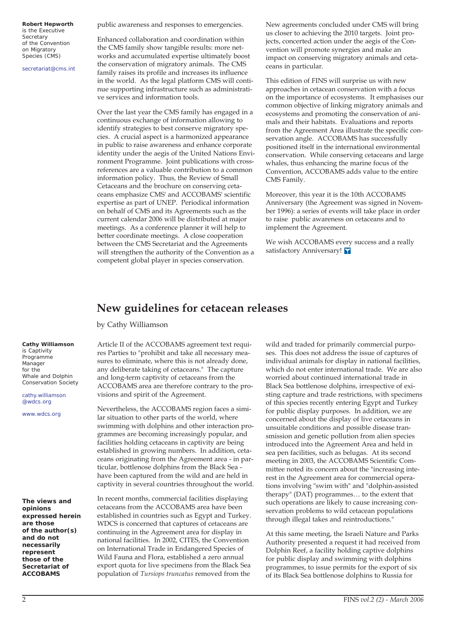**Robert Hepworth**  is the Executive **Secretary** of the Convention on Migratory Species (CMS)

secretariat@cms.int

public awareness and responses to emergencies.

Enhanced collaboration and coordination within the CMS family show tangible results: more networks and accumulated expertise ultimately boost the conservation of migratory animals. The CMS family raises its profile and increases its influence in the world. As the legal platform CMS will continue supporting infrastructure such as administrative services and information tools.

Over the last year the CMS family has engaged in a continuous exchange of information allowing to identify strategies to best conserve migratory species. A crucial aspect is a harmonized appearance in public to raise awareness and enhance corporate identity under the aegis of the United Nations Environment Programme. Joint publications with crossreferences are a valuable contribution to a common information policy. Thus, the Review of Small Cetaceans and the brochure on conserving cetaceans emphasize CMS' and ACCOBAMS' scientific expertise as part of UNEP. Periodical information on behalf of CMS and its Agreements such as the current calendar 2006 will be distributed at major meetings. As a conference planner it will help to better coordinate meetings. A close cooperation between the CMS Secretariat and the Agreements will strengthen the authority of the Convention as a competent global player in species conservation.

New agreements concluded under CMS will bring us closer to achieving the 2010 targets. Joint projects, concerted action under the aegis of the Convention will promote synergies and make an impact on conserving migratory animals and cetaceans in particular.

This edition of FINS will surprise us with new approaches in cetacean conservation with a focus on the importance of ecosystems. It emphasises our common objective of linking migratory animals and ecosystems and promoting the conservation of animals and their habitats. Evaluations and reports from the Agreement Area illustrate the specific conservation angle. ACCOBAMS has successfully positioned itself in the international environmental conservation. While conserving cetaceans and large whales, thus enhancing the marine focus of the Convention, ACCOBAMS adds value to the entire CMS Family.

Moreover, this year it is the 10th ACCOBAMS Anniversary (the Agreement was signed in November 1996): a series of events will take place in order to raise public awareness on cetaceans and to implement the Agreement.

We wish ACCOBAMS every success and a really satisfactory Anniversary! Y

### **New guidelines for cetacean releases**

by Cathy Williamson

Article II of the ACCOBAMS agreement text requires Parties to "prohibit and take all necessary measures to eliminate, where this is not already done, any deliberate taking of cetaceans." The capture and long-term captivity of cetaceans from the ACCOBAMS area are therefore contrary to the provisions and spirit of the Agreement.

Nevertheless, the ACCOBAMS region faces a similar situation to other parts of the world, where swimming with dolphins and other interaction programmes are becoming increasingly popular, and facilities holding cetaceans in captivity are being established in growing numbers. In addition, cetaceans originating from the Agreement area - in particular, bottlenose dolphins from the Black Sea have been captured from the wild and are held in captivity in several countries throughout the world.

In recent months, commercial facilities displaying cetaceans from the ACCOBAMS area have been established in countries such as Egypt and Turkey. WDCS is concerned that captures of cetaceans are continuing in the Agreement area for display in national facilities. In 2002, CITES, the Convention on International Trade in Endangered Species of Wild Fauna and Flora, established a zero annual export quota for live specimens from the Black Sea population of *Tursiops truncatus* removed from the

wild and traded for primarily commercial purposes. This does not address the issue of captures of individual animals for display in national facilities, which do not enter international trade. We are also worried about continued international trade in Black Sea bottlenose dolphins, irrespective of existing capture and trade restrictions, with specimens of this species recently entering Egypt and Turkey for public display purposes. In addition, we are concerned about the display of live cetaceans in unsuitable conditions and possible disease transmission and genetic pollution from alien species introduced into the Agreement Area and held in sea pen facilities, such as belugas. At its second meeting in 2003, the ACCOBAMS Scientific Committee noted its concern about the "increasing interest in the Agreement area for commercial operations involving "swim with" and "dolphin-assisted therapy" (DAT) programmes… to the extent that such operations are likely to cause increasing conservation problems to wild cetacean populations through illegal takes and reintroductions."

At this same meeting, the Israeli Nature and Parks Authority presented a request it had received from Dolphin Reef, a facility holding captive dolphins for public display and swimming with dolphins programmes, to issue permits for the export of six of its Black Sea bottlenose dolphins to Russia for

### **Cathy Williamson** is Captivity

Programme Manager for the Whale and Dolphin Conservation Society

cathy.williamson @wdcs.org

www.wdcs.org

**The views and opinions expressed herein are those of the author(s) and do not necessarily represent those of the Secretariat of ACCOBAMS**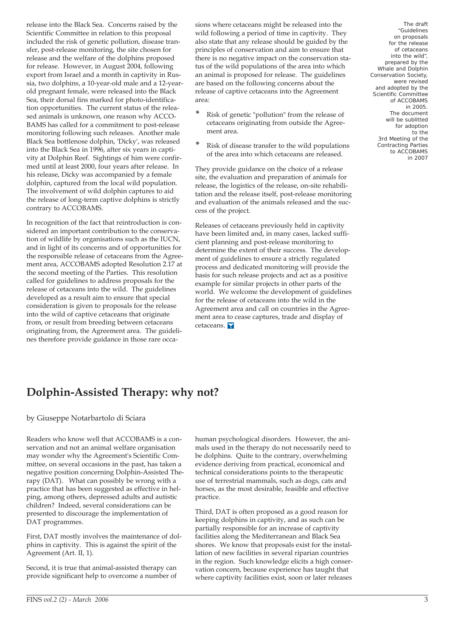release into the Black Sea. Concerns raised by the Scientific Committee in relation to this proposal included the risk of genetic pollution, disease transfer, post-release monitoring, the site chosen for release and the welfare of the dolphins proposed for release. However, in August 2004, following export from Israel and a month in captivity in Russia, two dolphins, a 10-year-old male and a 12-yearold pregnant female, were released into the Black Sea, their dorsal fins marked for photo-identification opportunities. The current status of the released animals is unknown, one reason why ACCO-BAMS has called for a commitment to post-release monitoring following such releases. Another male Black Sea bottlenose dolphin, 'Dicky', was released into the Black Sea in 1996, after six years in captivity at Dolphin Reef. Sightings of him were confirmed until at least 2000, four years after release. In his release, Dicky was accompanied by a female dolphin, captured from the local wild population. The involvement of wild dolphin captures to aid the release of long-term captive dolphins is strictly contrary to ACCOBAMS.

In recognition of the fact that reintroduction is considered an important contribution to the conservation of wildlife by organisations such as the IUCN, and in light of its concerns and of opportunities for the responsible release of cetaceans from the Agreement area, ACCOBAMS adopted Resolution 2.17 at the second meeting of the Parties. This resolution called for guidelines to address proposals for the release of cetaceans into the wild. The guidelines developed as a result aim to ensure that special consideration is given to proposals for the release into the wild of captive cetaceans that originate from, or result from breeding between cetaceans originating from, the Agreement area. The guidelines therefore provide guidance in those rare occasions where cetaceans might be released into the wild following a period of time in captivity. They also state that any release should be guided by the principles of conservation and aim to ensure that there is no negative impact on the conservation status of the wild populations of the area into which an animal is proposed for release. The guidelines are based on the following concerns about the release of captive cetaceans into the Agreement area:

- **\*** Risk of genetic "pollution" from the release of cetaceans originating from outside the Agreement area.
- **\*** Risk of disease transfer to the wild populations of the area into which cetaceans are released.

They provide guidance on the choice of a release site, the evaluation and preparation of animals for release, the logistics of the release, on-site rehabilitation and the release itself, post-release monitoring and evaluation of the animals released and the success of the project.

Releases of cetaceans previously held in captivity have been limited and, in many cases, lacked sufficient planning and post-release monitoring to determine the extent of their success. The development of guidelines to ensure a strictly regulated process and dedicated monitoring will provide the basis for such release projects and act as a positive example for similar projects in other parts of the world. We welcome the development of guidelines for the release of cetaceans into the wild in the Agreement area and call on countries in the Agreement area to cease captures, trade and display of cetaceans.

The draft "Guidelines on proposals for the release of cetaceans into the wild", prepared by the Whale and Dolphin Conservation Society, were revised and adopted by the Scientific Committee of ACCOBAMS in 2005. The document will be sublitted for adoption to the 3rd Meeting of the Contracting Parties to ACCOBAMS in 2007

# **Dolphin-Assisted Therapy: why not?**

by Giuseppe Notarbartolo di Sciara

Readers who know well that ACCOBAMS is a conservation and not an animal welfare organisation may wonder why the Agreement's Scientific Committee, on several occasions in the past, has taken a negative position concerning Dolphin-Assisted Therapy (DAT). What can possibly be wrong with a practice that has been suggested as effective in helping, among others, depressed adults and autistic children? Indeed, several considerations can be presented to discourage the implementation of DAT programmes.

First, DAT mostly involves the maintenance of dolphins in captivity. This is against the spirit of the Agreement (Art. II, 1).

Second, it is true that animal-assisted therapy can provide significant help to overcome a number of human psychological disorders. However, the animals used in the therapy do not necessarily need to be dolphins. Quite to the contrary, overwhelming evidence deriving from practical, economical and technical considerations points to the therapeutic use of terrestrial mammals, such as dogs, cats and horses, as the most desirable, feasible and effective practice.

Third, DAT is often proposed as a good reason for keeping dolphins in captivity, and as such can be partially responsible for an increase of captivity facilities along the Mediterranean and Black Sea shores. We know that proposals exist for the installation of new facilities in several riparian countries in the region. Such knowledge elicits a high conservation concern, because experience has taught that where captivity facilities exist, soon or later releases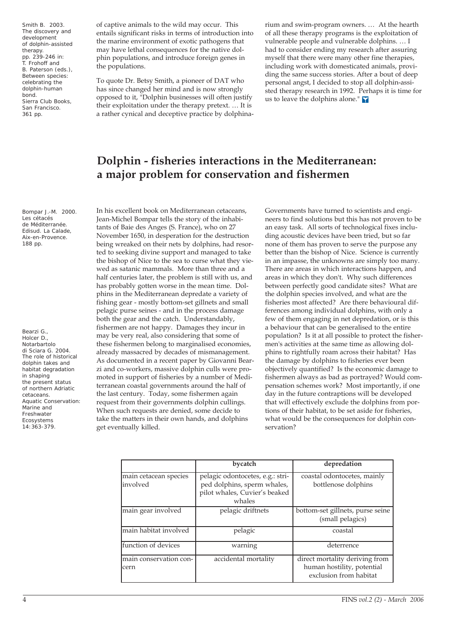Smith B. 2003. The discovery and development of dolphin-assisted therapy. pp. 239-246 in: T. Frohoff and B. Paterson (eds.), Between species: celebrating the dolphin-human bond. Sierra Club Books, San Francisco. 361 pp.

Bompar J.-M. 2000. Les cétacés de Méditerranée. Edisud. La Calade, Aix-en-Provence. 188 pp.

Bearzi G., Holcer D., Notarbartolo di Sciara G. 2004. The role of historical dolphin takes and habitat degradation in shaping the present status of northern Adriatic cetaceans. Aquatic Conservation: Marine and Freshwater Ecosystems 14:363-379.

of captive animals to the wild may occur. This entails significant risks in terms of introduction into the marine environment of exotic pathogens that may have lethal consequences for the native dolphin populations, and introduce foreign genes in the populations.

To quote Dr. Betsy Smith, a pioneer of DAT who has since changed her mind and is now strongly opposed to it, "Dolphin businesses will often justify their exploitation under the therapy pretext. … It is a rather cynical and deceptive practice by dolphinarium and swim-program owners. … At the hearth of all these therapy programs is the exploitation of vulnerable people and vulnerable dolphins. … I had to consider ending my research after assuring myself that there were many other fine therapies, including work with domesticated animals, providing the same success stories. After a bout of deep personal angst, I decided to stop all dolphin-assisted therapy research in 1992. Perhaps it is time for us to leave the dolphins alone."

# **Dolphin - fisheries interactions in the Mediterranean: a major problem for conservation and fishermen**

In his excellent book on Mediterranean cetaceans, Jean-Michel Bompar tells the story of the inhabitants of Baie des Anges (S. France), who on 27 November 1650, in desperation for the destruction being wreaked on their nets by dolphins, had resorted to seeking divine support and managed to take the bishop of Nice to the sea to curse what they viewed as satanic mammals. More than three and a half centuries later, the problem is still with us, and has probably gotten worse in the mean time. Dolphins in the Mediterranean depredate a variety of fishing gear - mostly bottom-set gillnets and small pelagic purse seines - and in the process damage both the gear and the catch. Understandably, fishermen are not happy. Damages they incur in may be very real, also considering that some of these fishermen belong to marginalised economies, already massacred by decades of mismanagement. As documented in a recent paper by Giovanni Bearzi and co-workers, massive dolphin culls were promoted in support of fisheries by a number of Mediterranean coastal governments around the half of the last century. Today, some fishermen again request from their governments dolphin cullings. When such requests are denied, some decide to take the matters in their own hands, and dolphins get eventually killed.

Governments have turned to scientists and engineers to find solutions but this has not proven to be an easy task. All sorts of technological fixes including acoustic devices have been tried, but so far none of them has proven to serve the purpose any better than the bishop of Nice. Science is currently in an impasse, the unknowns are simply too many. There are areas in which interactions happen, and areas in which they don't. Why such differences between perfectly good candidate sites? What are the dolphin species involved, and what are the fisheries most affected? Are there behavioural differences among individual dolphins, with only a few of them engaging in net depredation, or is this a behaviour that can be generalised to the entire population? Is it at all possible to protect the fishermen's activities at the same time as allowing dolphins to rightfully roam across their habitat? Has the damage by dolphins to fisheries ever been objectively quantified? Is the economic damage to fishermen always as bad as portrayed? Would compensation schemes work? Most importantly, if one day in the future contraptions will be developed that will effectively exclude the dolphins from portions of their habitat, to be set aside for fisheries, what would be the consequences for dolphin conservation?

|                                   | bycatch                                                                                                    | depredation                                                                            |
|-----------------------------------|------------------------------------------------------------------------------------------------------------|----------------------------------------------------------------------------------------|
| main cetacean species<br>involved | pelagic odontocetes, e.g.: stri-<br>ped dolphins, sperm whales,<br>pilot whales, Cuvier's beaked<br>whales | coastal odontocetes, mainly<br>bottlenose dolphins                                     |
| main gear involved                | pelagic driftnets                                                                                          | bottom-set gillnets, purse seine<br>(small pelagics)                                   |
| main habitat involved             | pelagic                                                                                                    | coastal                                                                                |
| function of devices               | warning                                                                                                    | deterrence                                                                             |
| main conservation con-<br>cern    | accidental mortality                                                                                       | direct mortality deriving from<br>human hostility, potential<br>exclusion from habitat |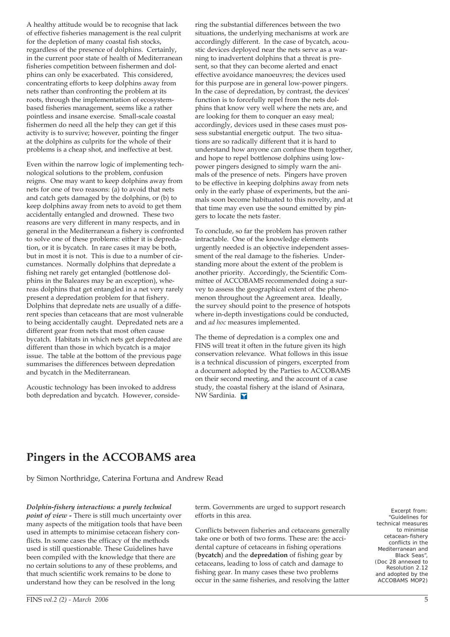A healthy attitude would be to recognise that lack of effective fisheries management is the real culprit for the depletion of many coastal fish stocks, regardless of the presence of dolphins. Certainly, in the current poor state of health of Mediterranean fisheries competition between fishermen and dolphins can only be exacerbated. This considered, concentrating efforts to keep dolphins away from nets rather than confronting the problem at its roots, through the implementation of ecosystembased fisheries management, seems like a rather pointless and insane exercise. Small-scale coastal fishermen do need all the help they can get if this activity is to survive; however, pointing the finger at the dolphins as culprits for the whole of their problems is a cheap shot, and ineffective at best.

Even within the narrow logic of implementing technological solutions to the problem, confusion reigns. One may want to keep dolphins away from nets for one of two reasons: (a) to avoid that nets and catch gets damaged by the dolphins, or (b) to keep dolphins away from nets to avoid to get them accidentally entangled and drowned. These two reasons are very different in many respects, and in general in the Mediterranean a fishery is confronted to solve one of these problems: either it is depredation, or it is bycatch. In rare cases it may be both, but in most it is not. This is due to a number of circumstances. Normally dolphins that depredate a fishing net rarely get entangled (bottlenose dolphins in the Baleares may be an exception), whereas dolphins that get entangled in a net very rarely present a depredation problem for that fishery. Dolphins that depredate nets are usually of a different species than cetaceans that are most vulnerable to being accidentally caught. Depredated nets are a different gear from nets that most often cause bycatch. Habitats in which nets get depredated are different than those in which bycatch is a major issue. The table at the bottom of the previous page summarises the differences between depredation and bycatch in the Mediterranean.

Acoustic technology has been invoked to address both depredation and bycatch. However, considering the substantial differences between the two situations, the underlying mechanisms at work are accordingly different. In the case of bycatch, acoustic devices deployed near the nets serve as a warning to inadvertent dolphins that a threat is present, so that they can become alerted and enact effective avoidance manoeuvres; the devices used for this purpose are in general low-power pingers. In the case of depredation, by contrast, the devices' function is to forcefully repel from the nets dolphins that know very well where the nets are, and are looking for them to conquer an easy meal; accordingly, devices used in these cases must possess substantial energetic output. The two situations are so radically different that it is hard to understand how anyone can confuse them together, and hope to repel bottlenose dolphins using lowpower pingers designed to simply warn the animals of the presence of nets. Pingers have proven to be effective in keeping dolphins away from nets only in the early phase of experiments, but the animals soon become habituated to this novelty, and at that time may even use the sound emitted by pingers to locate the nets faster.

To conclude, so far the problem has proven rather intractable. One of the knowledge elements urgently needed is an objective independent assessment of the real damage to the fisheries. Understanding more about the extent of the problem is another priority. Accordingly, the Scientific Committee of ACCOBAMS recommended doing a survey to assess the geographical extent of the phenomenon throughout the Agreement area. Ideally, the survey should point to the presence of hotspots where in-depth investigations could be conducted, and *ad hoc* measures implemented.

The theme of depredation is a complex one and FINS will treat it often in the future given its high conservation relevance. What follows in this issue is a technical discussion of pingers, excerpted from a document adopted by the Parties to ACCOBAMS on their second meeting, and the account of a case study, the coastal fishery at the island of Asinara, NW Sardinia.

# **Pingers in the ACCOBAMS area**

by Simon Northridge, Caterina Fortuna and Andrew Read

*Dolphin-fishery interactions: a purely technical point of view -* There is still much uncertainty over many aspects of the mitigation tools that have been used in attempts to minimise cetacean fishery conflicts. In some cases the efficacy of the methods used is still questionable. These Guidelines have been compiled with the knowledge that there are no certain solutions to any of these problems, and that much scientific work remains to be done to understand how they can be resolved in the long

term. Governments are urged to support research efforts in this area.

Conflicts between fisheries and cetaceans generally take one or both of two forms. These are: the accidental capture of cetaceans in fishing operations (**bycatch**) and the **depredation** of fishing gear by cetaceans, leading to loss of catch and damage to fishing gear. In many cases these two problems occur in the same fisheries, and resolving the latter

Excerpt from: "Guidelines for technical measures to minimise cetacean-fishery conflicts in the Mediterranean and Black Seas", (Doc 28 annexed to Resolution 2.12 and adopted by the ACCOBAMS MOP2)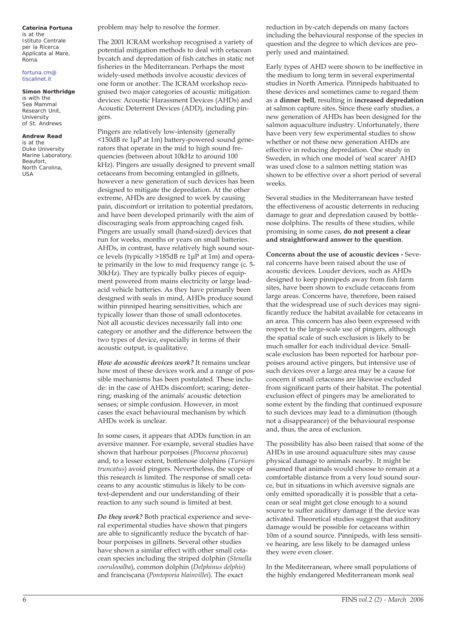#### **Caterina Fortuna** is at the

Istituto Centrale per la Ricerca Applicata al Mare, Roma

### fortuna.cm@ tiscalinet.it

**Simon Northridge** is with the Sea Mammal Research Unit, University of St. Andrews

### **Andrew Read**

is at the Duke University Marine Laboratory, Beaufort, North Carolina, USA

problem may help to resolve the former.

The 2001 ICRAM workshop recognised a variety of potential mitigation methods to deal with cetacean bycatch and depredation of fish catches in static net fisheries in the Mediterranean. Perhaps the most widely-used methods involve acoustic devices of one form or another. The ICRAM workshop recognised two major categories of acoustic mitigation devices: Acoustic Harassment Devices (AHDs) and Acoustic Deterrent Devices (ADD), including pingers.

Pingers are relatively low-intensity (generally <150dB re 1μP at 1m) battery-powered sound generators that operate in the mid to high sound frequencies (between about 10kHz to around 100 kHz). Pingers are usually designed to prevent small cetaceans from becoming entangled in gillnets, however a new generation of such devices has been designed to mitigate the depredation. At the other extreme, AHDs are designed to work by causing pain, discomfort or irritation to potential predators, and have been developed primarily with the aim of discouraging seals from approaching caged fish. Pingers are usually small (hand-sized) devices that run for weeks, months or years on small batteries. AHDs, in contrast, have relatively high sound source levels (typically >185dB re 1μP at 1m) and operate primarily in the low to mid frequency range (c. 5- 30kHz). They are typically bulky pieces of equipment powered from mains electricity or large leadacid vehicle batteries. As they have primarily been designed with seals in mind, AHDs produce sound within pinniped hearing sensitivities, which are typically lower than those of small odontocetes. Not all acoustic devices necessarily fall into one category or another and the difference between the two types of device, especially in terms of their acoustic output, is qualitative.

*How do acoustic devices work?* It remains unclear how most of these devices work and a range of possible mechanisms has been postulated. These include: in the case of AHDs discomfort; scaring; deterring; masking of the animals' acoustic detection senses; or simple confusion. However, in most cases the exact behavioural mechanism by which AHDs work is unclear.

In some cases, it appears that ADDs function in an aversive manner. For example, several studies have shown that harbour porpoises (*Phocoena phocoena*) and, to a lesser extent, bottlenose dolphins (*Tursiops truncatus*) avoid pingers. Nevertheless, the scope of this research is limited. The response of small cetaceans to any acoustic stimulus is likely to be context-dependent and our understanding of their reaction to any such sound is limited at best.

*Do they work?* Both practical experience and several experimental studies have shown that pingers are able to significantly reduce the bycatch of harbour porpoises in gillnets. Several other studies have shown a similar effect with other small cetacean species including the striped dolphin (*Stenella coeruleoalba*), common dolphin (*Delphinus delphis*) and franciscana (*Pontoporia blainvillei*). The exact

reduction in by-catch depends on many factors including the behavioural response of the species in question and the degree to which devices are properly used and maintained.

Early types of AHD were shown to be ineffective in the medium to long term in several experimental studies in North America. Pinnipeds habituated to these devices and sometimes came to regard them as a **dinner bell**, resulting in **increased depredation** at salmon capture sites. Since these early studies, a new generation of AHDs has been designed for the salmon aquaculture industry. Unfortunately, there have been very few experimental studies to show whether or not these new generation AHDs are effective in reducing depredation. One study in Sweden, in which one model of 'seal scarer' AHD was used close to a salmon netting station was shown to be effective over a short period of several weeks.

Several studies in the Mediterranean have tested the effectiveness of acoustic deterrents in reducing damage to gear and depredation caused by bottlenose dolphins. The results of these studies, while promising in some cases, **do not present a clear and straightforward answer to the question**.

**Concerns about the use of acoustic devices -** Several concerns have been raised about the use of acoustic devices. Louder devices, such as AHDs designed to keep pinnipeds away from fish farm sites, have been shown to exclude cetaceans from large areas. Concerns have, therefore, been raised that the widespread use of such devices may significantly reduce the habitat available for cetaceans in an area. This concern has also been expressed with respect to the large-scale use of pingers, although the spatial scale of such exclusion is likely to be much smaller for each individual device. Smallscale exclusion has been reported for harbour porpoises around active pingers, but intensive use of such devices over a large area may be a cause for concern if small cetaceans are likewise excluded from significant parts of their habitat. The potential exclusion effect of pingers may be ameliorated to some extent by the finding that continued exposure to such devices may lead to a diminution (though not a disappearance) of the behavioural response and, thus, the area of exclusion.

The possibility has also been raised that some of the AHDs in use around aquaculture sites may cause physical damage to animals nearby. It might be assumed that animals would choose to remain at a comfortable distance from a very loud sound source, but in situations in which aversive signals are only emitted sporadically it is possible that a cetacean or seal might get close enough to a sound source to suffer auditory damage if the device was activated. Theoretical studies suggest that auditory damage would be possible for cetaceans within 10m of a sound source. Pinnipeds, with less sensitive hearing, are less likely to be damaged unless they were even closer.

In the Mediterranean, where small populations of the highly endangered Mediterranean monk seal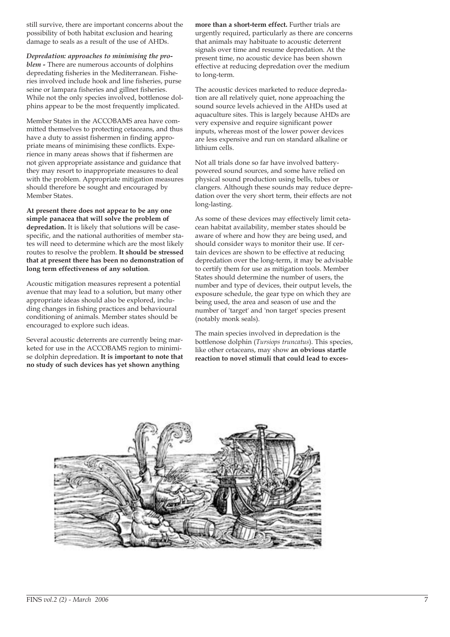still survive, there are important concerns about the possibility of both habitat exclusion and hearing damage to seals as a result of the use of AHDs.

*Depredation: approaches to minimising the problem -* There are numerous accounts of dolphins depredating fisheries in the Mediterranean. Fisheries involved include hook and line fisheries, purse seine or lampara fisheries and gillnet fisheries. While not the only species involved, bottlenose dolphins appear to be the most frequently implicated.

Member States in the ACCOBAMS area have committed themselves to protecting cetaceans, and thus have a duty to assist fishermen in finding appropriate means of minimising these conflicts. Experience in many areas shows that if fishermen are not given appropriate assistance and guidance that they may resort to inappropriate measures to deal with the problem. Appropriate mitigation measures should therefore be sought and encouraged by Member States.

**At present there does not appear to be any one simple panacea that will solve the problem of depredation.** It is likely that solutions will be casespecific, and the national authorities of member states will need to determine which are the most likely routes to resolve the problem. **It should be stressed that at present there has been no demonstration of long term effectiveness of any solution**.

Acoustic mitigation measures represent a potential avenue that may lead to a solution, but many other appropriate ideas should also be explored, including changes in fishing practices and behavioural conditioning of animals. Member states should be encouraged to explore such ideas.

Several acoustic deterrents are currently being marketed for use in the ACCOBAMS region to minimise dolphin depredation. **It is important to note that no study of such devices has yet shown anything**

**more than a short-term effect.** Further trials are urgently required, particularly as there are concerns that animals may habituate to acoustic deterrent signals over time and resume depredation. At the present time, no acoustic device has been shown effective at reducing depredation over the medium to long-term.

The acoustic devices marketed to reduce depredation are all relatively quiet, none approaching the sound source levels achieved in the AHDs used at aquaculture sites. This is largely because AHDs are very expensive and require significant power inputs, whereas most of the lower power devices are less expensive and run on standard alkaline or lithium cells.

Not all trials done so far have involved batterypowered sound sources, and some have relied on physical sound production using bells, tubes or clangers. Although these sounds may reduce depredation over the very short term, their effects are not long-lasting.

As some of these devices may effectively limit cetacean habitat availability, member states should be aware of where and how they are being used, and should consider ways to monitor their use. If certain devices are shown to be effective at reducing depredation over the long-term, it may be advisable to certify them for use as mitigation tools. Member States should determine the number of users, the number and type of devices, their output levels, the exposure schedule, the gear type on which they are being used, the area and season of use and the number of 'target' and 'non target' species present (notably monk seals).

The main species involved in depredation is the bottlenose dolphin (*Tursiops truncatus*). This species, like other cetaceans, may show **an obvious startle reaction to novel stimuli that could lead to exces-**

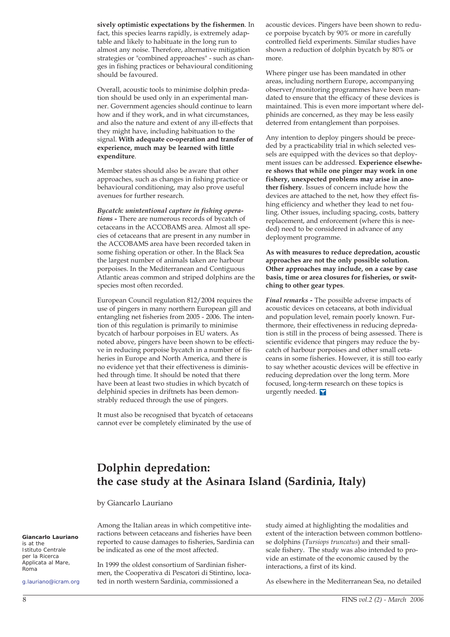**sively optimistic expectations by the fishermen**. In fact, this species learns rapidly, is extremely adaptable and likely to habituate in the long run to almost any noise. Therefore, alternative mitigation strategies or "combined approaches" - such as changes in fishing practices or behavioural conditioning should be favoured.

Overall, acoustic tools to minimise dolphin predation should be used only in an experimental manner. Government agencies should continue to learn how and if they work, and in what circumstances, and also the nature and extent of any ill-effects that they might have, including habituation to the signal. **With adequate co-operation and transfer of experience, much may be learned with little expenditure**.

Member states should also be aware that other approaches, such as changes in fishing practice or behavioural conditioning, may also prove useful avenues for further research.

*Bycatch: unintentional capture in fishing operations -* There are numerous records of bycatch of cetaceans in the ACCOBAMS area. Almost all species of cetaceans that are present in any number in the ACCOBAMS area have been recorded taken in some fishing operation or other. In the Black Sea the largest number of animals taken are harbour porpoises. In the Mediterranean and Contiguous Atlantic areas common and striped dolphins are the species most often recorded.

European Council regulation 812/2004 requires the use of pingers in many northern European gill and entangling net fisheries from 2005 - 2006. The intention of this regulation is primarily to minimise bycatch of harbour porpoises in EU waters. As noted above, pingers have been shown to be effective in reducing porpoise bycatch in a number of fisheries in Europe and North America, and there is no evidence yet that their effectiveness is diminished through time. It should be noted that there have been at least two studies in which bycatch of delphinid species in driftnets has been demonstrably reduced through the use of pingers.

It must also be recognised that bycatch of cetaceans cannot ever be completely eliminated by the use of

acoustic devices. Pingers have been shown to reduce porpoise bycatch by 90% or more in carefully controlled field experiments. Similar studies have shown a reduction of dolphin bycatch by 80% or more.

Where pinger use has been mandated in other areas, including northern Europe, accompanying observer/monitoring programmes have been mandated to ensure that the efficacy of these devices is maintained. This is even more important where delphinids are concerned, as they may be less easily deterred from entanglement than porpoises.

Any intention to deploy pingers should be preceded by a practicability trial in which selected vessels are equipped with the devices so that deployment issues can be addressed. **Experience elsewhere shows that while one pinger may work in one fishery, unexpected problems may arise in another fishery**. Issues of concern include how the devices are attached to the net, how they effect fishing efficiency and whether they lead to net fouling. Other issues, including spacing, costs, battery replacement, and enforcement (where this is needed) need to be considered in advance of any deployment programme.

**As with measures to reduce depredation, acoustic approaches are not the only possible solution. Other approaches may include, on a case by case basis, time or area closures for fisheries, or switching to other gear types**.

*Final remarks -* The possible adverse impacts of acoustic devices on cetaceans, at both individual and population level, remain poorly known. Furthermore, their effectiveness in reducing depredation is still in the process of being assessed. There is scientific evidence that pingers may reduce the bycatch of harbour porpoises and other small cetaceans in some fisheries. However, it is still too early to say whether acoustic devices will be effective in reducing depredation over the long term. More focused, long-term research on these topics is urgently needed. Y

# **Dolphin depredation: the case study at the Asinara Island (Sardinia, Italy)**

by Giancarlo Lauriano

Among the Italian areas in which competitive interactions between cetaceans and fisheries have been reported to cause damages to fisheries, Sardinia can be indicated as one of the most affected.

In 1999 the oldest consortium of Sardinian fishermen, the Cooperativa di Pescatori di Stintino, located in north western Sardinia, commissioned a

study aimed at highlighting the modalities and extent of the interaction between common bottlenose dolphins (*Tursiops truncatus*) and their smallscale fishery. The study was also intended to provide an estimate of the economic caused by the interactions, a first of its kind.

As elsewhere in the Mediterranean Sea, no detailed

**Giancarlo Lauriano**  is at the Istituto Centrale per la Ricerca .<br>Applicata al Mare. Roma

g.lauriano@icram.org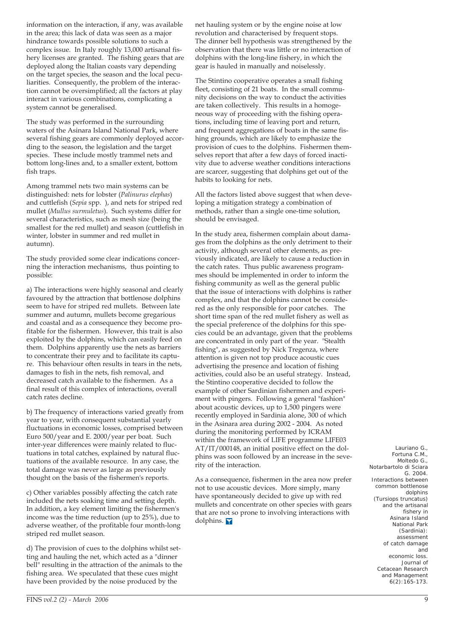information on the interaction, if any, was available in the area; this lack of data was seen as a major hindrance towards possible solutions to such a complex issue. In Italy roughly 13,000 artisanal fishery licenses are granted. The fishing gears that are deployed along the Italian coasts vary depending on the target species, the season and the local peculiarities. Consequently, the problem of the interaction cannot be oversimplified; all the factors at play interact in various combinations, complicating a system cannot be generalised.

The study was performed in the surrounding waters of the Asinara Island National Park, where several fishing gears are commonly deployed according to the season, the legislation and the target species. These include mostly trammel nets and bottom long-lines and, to a smaller extent, bottom fish traps.

Among trammel nets two main systems can be distinguished: nets for lobster (*Palinurus elephas*) and cuttlefish (*Sepia* spp. ), and nets for striped red mullet (*Mullus surmuletus*). Such systems differ for several characteristics, such as mesh size (being the smallest for the red mullet) and season (cuttlefish in winter, lobster in summer and red mullet in autumn).

The study provided some clear indications concerning the interaction mechanisms, thus pointing to possible:

a) The interactions were highly seasonal and clearly favoured by the attraction that bottlenose dolphins seem to have for striped red mullets. Between late summer and autumn, mullets become gregarious and coastal and as a consequence they become profitable for the fishermen. However, this trait is also exploited by the dolphins, which can easily feed on them. Dolphins apparently use the nets as barriers to concentrate their prey and to facilitate its capture. This behaviour often results in tears in the nets, damages to fish in the nets, fish removal, and decreased catch available to the fishermen. As a final result of this complex of interactions, overall catch rates decline.

b) The frequency of interactions varied greatly from year to year, with consequent substantial yearly fluctuations in economic losses, comprised between Euro 500/year and E. 2000/year per boat. Such inter-year differences were mainly related to fluctuations in total catches, explained by natural fluctuations of the available resource. In any case, the total damage was never as large as previously thought on the basis of the fishermen's reports.

c) Other variables possibly affecting the catch rate included the nets soaking time and setting depth. In addition, a key element limiting the fishermen's income was the time reduction (up to 25%), due to adverse weather, of the profitable four month-long striped red mullet season.

d) The provision of cues to the dolphins whilst setting and hauling the net, which acted as a "dinner bell" resulting in the attraction of the animals to the fishing area. We speculated that these cues might have been provided by the noise produced by the

net hauling system or by the engine noise at low revolution and characterised by frequent stops. The dinner bell hypothesis was strengthened by the observation that there was little or no interaction of dolphins with the long-line fishery, in which the gear is hauled in manually and noiselessly.

The Stintino cooperative operates a small fishing fleet, consisting of 21 boats. In the small community decisions on the way to conduct the activities are taken collectively. This results in a homogeneous way of proceeding with the fishing operations, including time of leaving port and return, and frequent aggregations of boats in the same fishing grounds, which are likely to emphasize the provision of cues to the dolphins. Fishermen themselves report that after a few days of forced inactivity due to adverse weather conditions interactions are scarcer, suggesting that dolphins get out of the habits to looking for nets.

All the factors listed above suggest that when developing a mitigation strategy a combination of methods, rather than a single one-time solution, should be envisaged.

In the study area, fishermen complain about damages from the dolphins as the only detriment to their activity, although several other elements, as previously indicated, are likely to cause a reduction in the catch rates. Thus public awareness programmes should be implemented in order to inform the fishing community as well as the general public that the issue of interactions with dolphins is rather complex, and that the dolphins cannot be considered as the only responsible for poor catches. The short time span of the red mullet fishery as well as the special preference of the dolphins for this species could be an advantage, given that the problems are concentrated in only part of the year. "Stealth fishing", as suggested by Nick Tregenza, where attention is given not top produce acoustic cues advertising the presence and location of fishing activities, could also be an useful strategy. Instead, the Stintino cooperative decided to follow the example of other Sardinian fishermen and experiment with pingers. Following a general "fashion" about acoustic devices, up to 1,500 pingers were recently employed in Sardinia alone, 300 of which in the Asinara area during 2002 - 2004. As noted during the monitoring performed by ICRAM within the framework of LIFE programme LIFE03 AT/IT/000148, an initial positive effect on the dolphins was soon followed by an increase in the severity of the interaction.

As a consequence, fishermen in the area now prefer not to use acoustic devices. More simply, many have spontaneously decided to give up with red mullets and concentrate on other species with gears that are not so prone to involving interactions with dolphins.

Lauriano G., Fortuna C.M., Moltedo G., Notarbartolo di Sciara G. 2004. Interactions between common bottlenose dolphins (*Tursiops truncatus*) and the artisanal fishery in Asinara Island National Park (Sardinia): assessment of catch damage and economic loss. Journal of Cetacean Research and Management 6(2):165-173.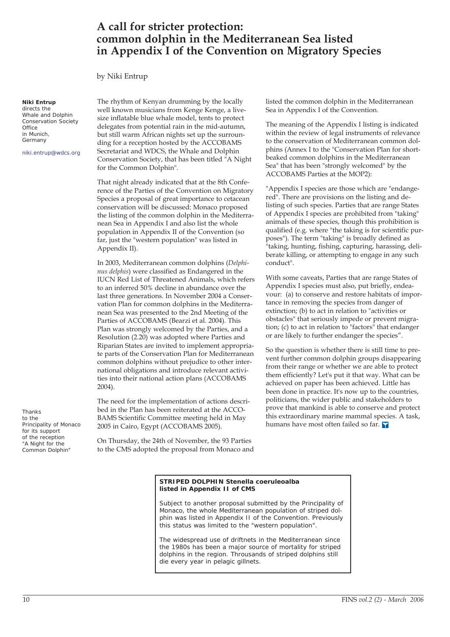## **A call for stricter protection: common dolphin in the Mediterranean Sea listed in Appendix I of the Convention on Migratory Species**

by Niki Entrup

### **Niki Entrup**

directs the Whale and Dolphin Conservation Society **Office** in Munich, Germany

niki.entrup@wdcs.org

The rhythm of Kenyan drumming by the locally well known musicians from Kenge Kenge, a livesize inflatable blue whale model, tents to protect delegates from potential rain in the mid-autumn, but still warm African nights set up the surrounding for a reception hosted by the ACCOBAMS Secretariat and WDCS, the Whale and Dolphin Conservation Society, that has been titled "A Night for the Common Dolphin".

That night already indicated that at the 8th Conference of the Parties of the Convention on Migratory Species a proposal of great importance to cetacean conservation will be discussed: Monaco proposed the listing of the common dolphin in the Mediterranean Sea in Appendix I and also list the whole population in Appendix II of the Convention (so far, just the "western population" was listed in Appendix II).

In 2003, Mediterranean common dolphins (*Delphinus delphis*) were classified as Endangered in the IUCN Red List of Threatened Animals, which refers to an inferred 50% decline in abundance over the last three generations. In November 2004 a Conservation Plan for common dolphins in the Mediterranean Sea was presented to the 2nd Meeting of the Parties of ACCOBAMS (Bearzi et al. 2004). This Plan was strongly welcomed by the Parties, and a Resolution (2.20) was adopted where Parties and Riparian States are invited to implement appropriate parts of the Conservation Plan for Mediterranean common dolphins without prejudice to other international obligations and introduce relevant activities into their national action plans (ACCOBAMS 2004).

The need for the implementation of actions described in the Plan has been reiterated at the ACCO-BAMS Scientific Committee meeting held in May 2005 in Cairo, Egypt (ACCOBAMS 2005).

On Thursday, the 24th of November, the 93 Parties to the CMS adopted the proposal from Monaco and listed the common dolphin in the Mediterranean Sea in Appendix I of the Convention.

The meaning of the Appendix I listing is indicated within the review of legal instruments of relevance to the conservation of Mediterranean common dolphins (Annex I to the "Conservation Plan for shortbeaked common dolphins in the Mediterranean Sea" that has been "strongly welcomed" by the ACCOBAMS Parties at the MOP2):

"Appendix I species are those which are "endangered". There are provisions on the listing and delisting of such species. Parties that are range States of Appendix I species are prohibited from "taking" animals of these species, though this prohibition is qualified (e.g. where "the taking is for scientific purposes"). The term "taking" is broadly defined as "taking, hunting, fishing, capturing, harassing, deliberate killing, or attempting to engage in any such conduct".

With some caveats, Parties that are range States of Appendix I species must also, put briefly, endeavour: (a) to conserve and restore habitats of importance in removing the species from danger of extinction; (b) to act in relation to "activities or obstacles" that seriously impede or prevent migration; (c) to act in relation to "factors" that endanger or are likely to further endanger the species".

So the question is whether there is still time to prevent further common dolphin groups disappearing from their range or whether we are able to protect them efficiently? Let's put it that way. What can be achieved on paper has been achieved. Little has been done in practice. It's now up to the countries, politicians, the wider public and stakeholders to prove that mankind is able to conserve and protect this extraordinary marine mammal species. A task, humans have most often failed so far.

### **STRIPED DOLPHIN** *Stenella coeruleoalba* **listed in Appendix II of CMS**

Subject to another proposal submitted by the Principality of Monaco, the whole Mediterranean population of striped dolphin was listed in Appendix II of the Convention. Previously this status was limited to the "western population".

The widespread use of driftnets in the Mediterranean since the 1980s has been a major source of mortality for striped dolphins in the region. Throusands of striped dolphins still die every year in pelagic gillnets.

Thanks to the Principality of Monaco for its support of the reception "A Night for the Common Dolphin"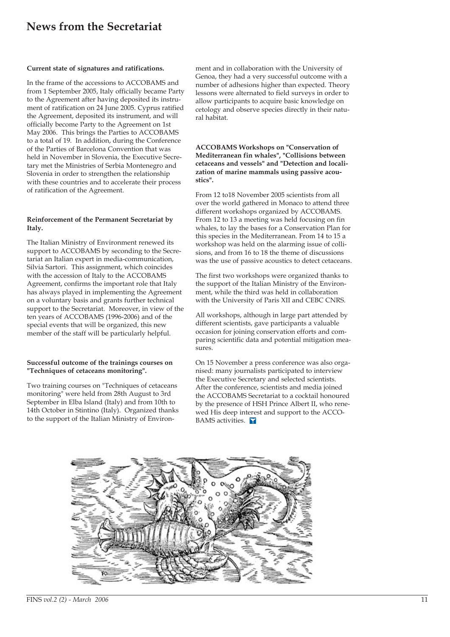# **News from the Secretariat**

### **Current state of signatures and ratifications.**

In the frame of the accessions to ACCOBAMS and from 1 September 2005, Italy officially became Party to the Agreement after having deposited its instrument of ratification on 24 June 2005. Cyprus ratified the Agreement, deposited its instrument, and will officially become Party to the Agreement on 1st May 2006. This brings the Parties to ACCOBAMS to a total of 19. In addition, during the Conference of the Parties of Barcelona Convention that was held in November in Slovenia, the Executive Secretary met the Ministries of Serbia Montenegro and Slovenia in order to strengthen the relationship with these countries and to accelerate their process of ratification of the Agreement.

### **Reinforcement of the Permanent Secretariat by Italy.**

The Italian Ministry of Environment renewed its support to ACCOBAMS by seconding to the Secretariat an Italian expert in media-communication, Silvia Sartori. This assignment, which coincides with the accession of Italy to the ACCOBAMS Agreement, confirms the important role that Italy has always played in implementing the Agreement on a voluntary basis and grants further technical support to the Secretariat. Moreover, in view of the ten years of ACCOBAMS (1996-2006) and of the special events that will be organized, this new member of the staff will be particularly helpful.

### **Successful outcome of the trainings courses on "Techniques of cetaceans monitoring".**

Two training courses on "Techniques of cetaceans monitoring" were held from 28th August to 3rd September in Elba Island (Italy) and from 10th to 14th October in Stintino (Italy). Organized thanks to the support of the Italian Ministry of Environment and in collaboration with the University of Genoa, they had a very successful outcome with a number of adhesions higher than expected. Theory lessons were alternated to field surveys in order to allow participants to acquire basic knowledge on cetology and observe species directly in their natural habitat.

### **ACCOBAMS Workshops on "Conservation of Mediterranean fin whales", "Collisions between cetaceans and vessels" and "Detection and localization of marine mammals using passive acoustics".**

From 12 to18 November 2005 scientists from all over the world gathered in Monaco to attend three different workshops organized by ACCOBAMS. From 12 to 13 a meeting was held focusing on fin whales, to lay the bases for a Conservation Plan for this species in the Mediterranean. From 14 to 15 a workshop was held on the alarming issue of collisions, and from 16 to 18 the theme of discussions was the use of passive acoustics to detect cetaceans.

The first two workshops were organized thanks to the support of the Italian Ministry of the Environment, while the third was held in collaboration with the University of Paris XII and CEBC CNRS.

All workshops, although in large part attended by different scientists, gave participants a valuable occasion for joining conservation efforts and comparing scientific data and potential mitigation measures.

On 15 November a press conference was also organised: many journalists participated to interview the Executive Secretary and selected scientists. After the conference, scientists and media joined the ACCOBAMS Secretariat to a cocktail honoured by the presence of HSH Prince Albert II, who renewed His deep interest and support to the ACCO-BAMS activities.

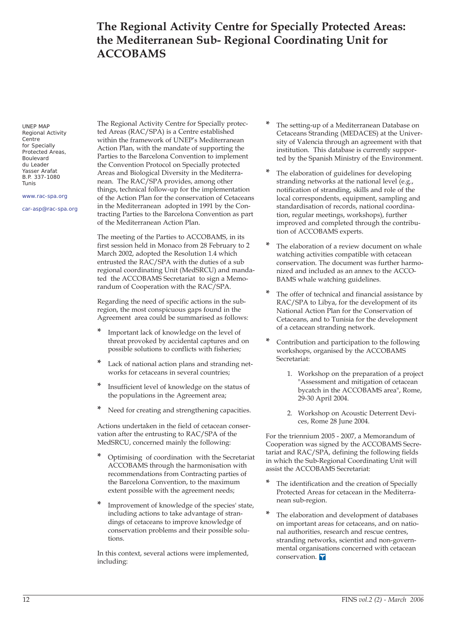# **The Regional Activity Centre for Specially Protected Areas: the Mediterranean Sub- Regional Coordinating Unit for ACCOBAMS**

UNEP MAP Regional Activity **Centre** for Specially Protected Areas, Boulevard du Leader Yasser Arafat B.P. 337-1080 Tunis

www.rac-spa.org

car-asp@rac-spa.org

The Regional Activity Centre for Specially protected Areas (RAC/SPA) is a Centre established within the framework of UNEP's Mediterranean Action Plan, with the mandate of supporting the Parties to the Barcelona Convention to implement the Convention Protocol on Specially protected Areas and Biological Diversity in the Mediterranean. The RAC/SPA provides, among other things, technical follow-up for the implementation of the Action Plan for the conservation of Cetaceans in the Mediterranean adopted in 1991 by the Contracting Parties to the Barcelona Convention as part of the Mediterranean Action Plan.

The meeting of the Parties to ACCOBAMS, in its first session held in Monaco from 28 February to 2 March 2002, adopted the Resolution 1.4 which entrusted the RAC/SPA with the duties of a sub regional coordinating Unit (MedSRCU) and mandated the ACCOBAMS Secretariat to sign a Memorandum of Cooperation with the RAC/SPA.

Regarding the need of specific actions in the subregion, the most conspicuous gaps found in the Agreement area could be summarised as follows:

- **\*** Important lack of knowledge on the level of threat provoked by accidental captures and on possible solutions to conflicts with fisheries;
- Lack of national action plans and stranding networks for cetaceans in several countries;
- **\*** Insufficient level of knowledge on the status of the populations in the Agreement area;
- **\*** Need for creating and strengthening capacities.

Actions undertaken in the field of cetacean conservation after the entrusting to RAC/SPA of the MedSRCU, concerned mainly the following:

- **\*** Optimising of coordination with the Secretariat ACCOBAMS through the harmonisation with recommendations from Contracting parties of the Barcelona Convention, to the maximum extent possible with the agreement needs;
- Improvement of knowledge of the species' state, including actions to take advantage of strandings of cetaceans to improve knowledge of conservation problems and their possible solutions.

In this context, several actions were implemented, including:

- **\*** The setting-up of a Mediterranean Database on Cetaceans Stranding (MEDACES) at the University of Valencia through an agreement with that institution. This database is currently supported by the Spanish Ministry of the Environment.
- **\*** The elaboration of guidelines for developing stranding networks at the national level (e.g., notification of stranding, skills and role of the local correspondents, equipment, sampling and standardisation of records, national coordination, regular meetings, workshops), further improved and completed through the contribution of ACCOBAMS experts.
- The elaboration of a review document on whale watching activities compatible with cetacean conservation. The document was further harmonized and included as an annex to the ACCO-BAMS whale watching guidelines.
- **\*** The offer of technical and financial assistance by RAC/SPA to Libya, for the development of its National Action Plan for the Conservation of Cetaceans, and to Tunisia for the development of a cetacean stranding network.
- **\*** Contribution and participation to the following workshops, organised by the ACCOBAMS Secretariat:
	- 1. Workshop on the preparation of a project "Assessment and mitigation of cetacean bycatch in the ACCOBAMS area", Rome, 29-30 April 2004.
	- 2. Workshop on Acoustic Deterrent Devices, Rome 28 June 2004.

For the triennium 2005 - 2007, a Memorandum of Cooperation was signed by the ACCOBAMS Secretariat and RAC/SPA, defining the following fields in which the Sub-Regional Coordinating Unit will assist the ACCOBAMS Secretariat:

- **\*** The identification and the creation of Specially Protected Areas for cetacean in the Mediterranean sub-region.
- **\*** The elaboration and development of databases on important areas for cetaceans, and on national authorities, research and rescue centres, stranding networks, scientist and non-governmental organisations concerned with cetacean conservation. Y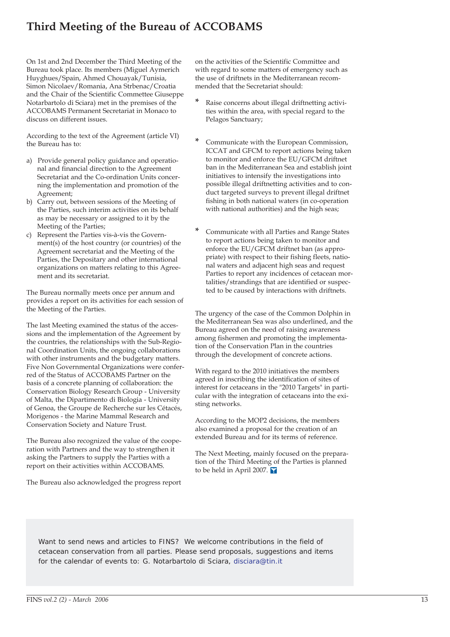# **Third Meeting of the Bureau of ACCOBAMS**

On 1st and 2nd December the Third Meeting of the Bureau took place. Its members (Miguel Aymerich Huyghues/Spain, Ahmed Chouayak/Tunisia, Simon Nicolaev/Romania, Ana Strbenac/Croatia and the Chair of the Scientific Commettee Giuseppe Notarbartolo di Sciara) met in the premises of the ACCOBAMS Permanent Secretariat in Monaco to discuss on different issues.

According to the text of the Agreement (article VI) the Bureau has to:

- a) Provide general policy guidance and operational and financial direction to the Agreement Secretariat and the Co-ordination Units concerning the implementation and promotion of the Agreement;
- b) Carry out, between sessions of the Meeting of the Parties, such interim activities on its behalf as may be necessary or assigned to it by the Meeting of the Parties;
- c) Represent the Parties vis-à-vis the Government(s) of the host country (or countries) of the Agreement secretariat and the Meeting of the Parties, the Depositary and other international organizations on matters relating to this Agreement and its secretariat.

The Bureau normally meets once per annum and provides a report on its activities for each session of the Meeting of the Parties.

The last Meeting examined the status of the accessions and the implementation of the Agreement by the countries, the relationships with the Sub-Regional Coordination Units, the ongoing collaborations with other instruments and the budgetary matters. Five Non Governmental Organizations were conferred of the Status of ACCOBAMS Partner on the basis of a concrete planning of collaboration: the Conservation Biology Research Group - University of Malta, the Dipartimento di Biologia - University of Genoa, the Groupe de Recherche sur les Cétacés, Morigenos - the Marine Mammal Research and Conservation Society and Nature Trust.

The Bureau also recognized the value of the cooperation with Partners and the way to strengthen it asking the Partners to supply the Parties with a report on their activities within ACCOBAMS.

The Bureau also acknowledged the progress report

on the activities of the Scientific Committee and with regard to some matters of emergency such as the use of driftnets in the Mediterranean recommended that the Secretariat should:

- **\*** Raise concerns about illegal driftnetting activities within the area, with special regard to the Pelagos Sanctuary;
- **\*** Communicate with the European Commission, ICCAT and GFCM to report actions being taken to monitor and enforce the EU/GFCM driftnet ban in the Mediterranean Sea and establish joint initiatives to intensify the investigations into possible illegal driftnetting activities and to conduct targeted surveys to prevent illegal driftnet fishing in both national waters (in co-operation with national authorities) and the high seas;
- **\*** Communicate with all Parties and Range States to report actions being taken to monitor and enforce the EU/GFCM driftnet ban (as appropriate) with respect to their fishing fleets, national waters and adjacent high seas and request Parties to report any incidences of cetacean mortalities/strandings that are identified or suspected to be caused by interactions with driftnets.

The urgency of the case of the Common Dolphin in the Mediterranean Sea was also underlined, and the Bureau agreed on the need of raising awareness among fishermen and promoting the implementation of the Conservation Plan in the countries through the development of concrete actions.

With regard to the 2010 initiatives the members agreed in inscribing the identification of sites of interest for cetaceans in the "2010 Targets" in particular with the integration of cetaceans into the existing networks.

According to the MOP2 decisions, the members also examined a proposal for the creation of an extended Bureau and for its terms of reference.

The Next Meeting, mainly focused on the preparation of the Third Meeting of the Parties is planned to be held in April 2007.

Want to send news and articles to FINS? We welcome contributions in the field of cetacean conservation from all parties. Please send proposals, suggestions and items for the calendar of events to: G. Notarbartolo di Sciara, disciara@tin.it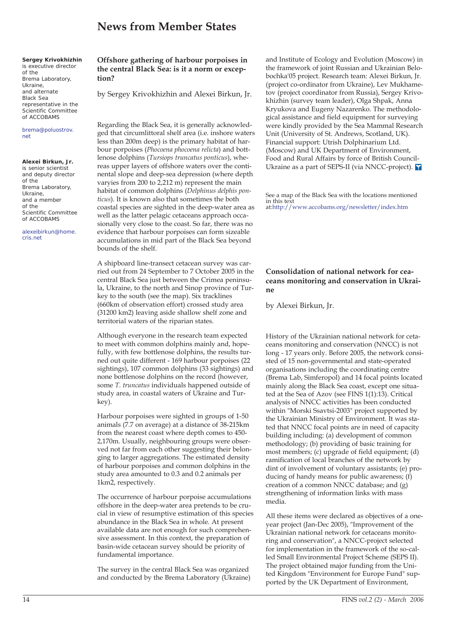# **News from Member States**

### **Sergey Krivokhizhin**

is executive director of the Brema Laboratory, Ukraine, and alternate Black Sea representative in the Scientific Committee of ACCOBAMS

### brema@poluostrov. net

### **Alexei Birkun, Jr.**

is senior scientist and deputy director of the Brema Laboratory, Ukraine, and a member of the Scientific Committee of ACCOBAMS

alexeibirkun@home. cris.net

### **Offshore gathering of harbour porpoises in the central Black Sea: is it a norm or exception?**

by Sergey Krivokhizhin and Alexei Birkun, Jr.

Regarding the Black Sea, it is generally acknowledged that circumlittoral shelf area (i.e. inshore waters less than 200m deep) is the primary habitat of harbour porpoises (*Phocoena phocoena relicta*) and bottlenose dolphins (*Tursiops truncatus ponticus*), whereas upper layers of offshore waters over the continental slope and deep-sea depression (where depth varyies from 200 to 2,212 m) represent the main habitat of common dolphins (*Delphinus delphis ponticus*). It is known also that sometimes the both coastal species are sighted in the deep-water area as well as the latter pelagic cetaceans approach occasionally very close to the coast. So far, there was no evidence that harbour porpoises can form sizeable accumulations in mid part of the Black Sea beyond bounds of the shelf.

A shipboard line-transect cetacean survey was carried out from 24 September to 7 October 2005 in the central Black Sea just between the Crimea peninsula, Ukraine, to the north and Sinop province of Turkey to the south (see the map). Six tracklines (660km of observation effort) crossed study area (31200 km2) leaving aside shallow shelf zone and territorial waters of the riparian states.

Although everyone in the research team expected to meet with common dolphins mainly and, hopefully, with few bottlenose dolphins, the results turned out quite different - 169 harbour porpoises (22 sightings), 107 common dolphins (33 sightings) and none bottlenose dolphins on the record (however, some *T. truncatus* individuals happened outside of study area, in coastal waters of Ukraine and Turkey).

Harbour porpoises were sighted in groups of 1-50 animals (7.7 on average) at a distance of 38-215km from the nearest coast where depth comes to 450- 2,170m. Usually, neighbouring groups were observed not far from each other suggesting their belonging to larger aggregations. The estimated density of harbour porpoises and common dolphins in the study area amounted to 0.3 and 0.2 animals per 1km2, respectively.

The occurrence of harbour porpoise accumulations offshore in the deep-water area pretends to be crucial in view of resumptive estimation of this species abundance in the Black Sea in whole. At present available data are not enough for such comprehensive assessment. In this context, the preparation of basin-wide cetacean survey should be priority of fundamental importance.

The survey in the central Black Sea was organized and conducted by the Brema Laboratory (Ukraine) and Institute of Ecology and Evolution (Moscow) in the framework of joint Russian and Ukrainian Belobochka'05 project. Research team: Alexei Birkun, Jr. (project co-ordinator from Ukraine), Lev Mukhametov (project coordinator from Russia), Sergey Krivokhizhin (survey team leader), Olga Shpak, Anna Kryukova and Eugeny Nazarenko. The methodological assistance and field equipment for surveying were kindly provided by the Sea Mammal Research Unit (University of St. Andrews, Scotland, UK). Financial support: Utrish Dolphinarium Ltd. (Moscow) and UK Department of Environment, Food and Rural Affairs by force of British Council-Ukraine as a part of SEPS-II (via NNCC-project).

See a map of the Black Sea with the locations mentioned in this text at:http://www.accobams.org/newsletter/index.htm

### **Consolidation of national network for ceaceans monitoring and conservation in Ukraine**

by Alexei Birkun, Jr.

History of the Ukrainian national network for cetaceans monitoring and conservation (NNCC) is not long - 17 years only. Before 2005, the network consisted of 15 non-governmental and state-operated organisations including the coordinating centre (Brema Lab, Simferopol) and 14 focal points located mainly along the Black Sea coast, except one situated at the Sea of Azov (see FINS 1(1):13). Critical analysis of NNCC activities has been conducted within "Morski Ssavtsi-2003" project supported by the Ukrainian Ministry of Environment. It was stated that NNCC focal points are in need of capacity building including: (a) development of common methodology; (b) providing of basic training for most members; (c) upgrade of field equipment; (d) ramification of local branches of the network by dint of involvement of voluntary assistants; (e) producing of handy means for public awareness; (f) creation of a common NNCC database; and (g) strengthening of information links with mass media.

All these items were declared as objectives of a oneyear project (Jan-Dec 2005), "Improvement of the Ukrainian national network for cetaceans monitoring and conservation", a NNCC-project selected for implementation in the framework of the so-called Small Environmental Project Scheme (SEPS II). The project obtained major funding from the United Kingdom "Environment for Europe Fund" supported by the UK Department of Environment,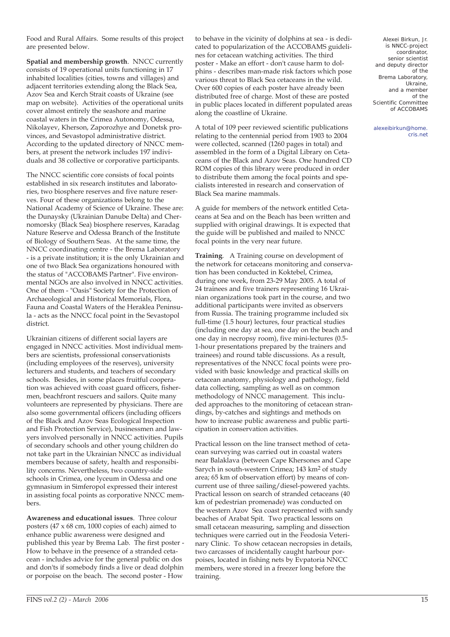Food and Rural Affairs. Some results of this project are presented below.

**Spatial and membership growth**. NNCC currently consists of 19 operational units functioning in 17 inhabited localities (cities, towns and villages) and adjacent territories extending along the Black Sea, Azov Sea and Kerch Strait coasts of Ukraine (see map on website). Activities of the operational units cover almost entirely the seashore and marine coastal waters in the Crimea Autonomy, Odessa, Nikolayev, Kherson, Zaporozhye and Donetsk provinces, and Sevastopol administrative district. According to the updated directory of NNCC members, at present the network includes 197 individuals and 38 collective or corporative participants.

The NNCC scientific core consists of focal points established in six research institutes and laboratories, two biosphere reserves and five nature reserves. Four of these organizations belong to the National Academy of Science of Ukraine. These are: the Dunaysky (Ukrainian Danube Delta) and Chernomorsky (Black Sea) biosphere reserves, Karadag Nature Reserve and Odessa Branch of the Institute of Biology of Southern Seas. At the same time, the NNCC coordinating centre - the Brema Laboratory - is a private institution; it is the only Ukrainian and one of two Black Sea organizations honoured with the status of "ACCOBAMS Partner". Five environmental NGOs are also involved in NNCC activities. One of them - "Oasis" Society for the Protection of Archaeological and Historical Memorials, Flora, Fauna and Coastal Waters of the Heraklea Peninsula - acts as the NNCC focal point in the Sevastopol district.

Ukrainian citizens of different social layers are engaged in NNCC activities. Most individual members are scientists, professional conservationists (including employees of the reserves), university lecturers and students, and teachers of secondary schools. Besides, in some places fruitful cooperation was achieved with coast guard officers, fishermen, beachfront rescuers and sailors. Quite many volunteers are represented by physicians. There are also some governmental officers (including officers of the Black and Azov Seas Ecological Inspection and Fish Protection Service), businessmen and lawyers involved personally in NNCC activities. Pupils of secondary schools and other young children do not take part in the Ukrainian NNCC as individual members because of safety, health and responsibility concerns. Nevertheless, two country-side schools in Crimea, one lyceum in Odessa and one gymnasium in Simferopol expressed their interest in assisting focal points as corporative NNCC members.

**Awareness and educational issues**. Three colour posters (47 x 68 cm, 1000 copies of each) aimed to enhance public awareness were designed and published this year by Brema Lab. The first poster - How to behave in the presence of a stranded cetacean - includes advice for the general public on dos and don'ts if somebody finds a live or dead dolphin or porpoise on the beach. The second poster - How

to behave in the vicinity of dolphins at sea - is dedicated to popularization of the ACCOBAMS guidelines for cetacean watching activities. The third poster - Make an effort - don't cause harm to dolphins - describes man-made risk factors which pose various threat to Black Sea cetaceans in the wild. Over 600 copies of each poster have already been distributed free of charge. Most of these are posted in public places located in different populated areas along the coastline of Ukraine.

A total of 109 peer reviewed scientific publications relating to the centennial period from 1903 to 2004 were collected, scanned (1260 pages in total) and assembled in the form of a Digital Library on Cetaceans of the Black and Azov Seas. One hundred CD ROM copies of this library were produced in order to distribute them among the focal points and specialists interested in research and conservation of Black Sea marine mammals.

A guide for members of the network entitled Cetaceans at Sea and on the Beach has been written and supplied with original drawings. It is expected that the guide will be published and mailed to NNCC focal points in the very near future.

**Training**. A Training course on development of the network for cetaceans monitoring and conservation has been conducted in Koktebel, Crimea, during one week, from 23-29 May 2005. A total of 24 trainees and five trainers representing 16 Ukrainian organizations took part in the course, and two additional participants were invited as observers from Russia. The training programme included six full-time (1.5 hour) lectures, four practical studies (including one day at sea, one day on the beach and one day in necropsy room), five mini-lectures (0.5- 1-hour presentations prepared by the trainers and trainees) and round table discussions. As a result, representatives of the NNCC focal points were provided with basic knowledge and practical skills on cetacean anatomy, physiology and pathology, field data collecting, sampling as well as on common methodology of NNCC management. This included approaches to the monitoring of cetacean strandings, by-catches and sightings and methods on how to increase public awareness and public participation in conservation activities.

Practical lesson on the line transect method of cetacean surveying was carried out in coastal waters near Balaklava (between Cape Khersones and Cape Sarych in south-western Crimea; 143 km2 of study area; 65 km of observation effort) by means of concurrent use of three sailing/diesel-powered yachts. Practical lesson on search of stranded cetaceans (40 km of pedestrian promenade) was conducted on the western Azov Sea coast represented with sandy beaches of Arabat Spit. Two practical lessons on small cetacean measuring, sampling and dissection techniques were carried out in the Feodosia Veterinary Clinic. To show cetacean necropsies in details, two carcasses of incidentally caught harbour porpoises, located in fishing nets by Evpatoria NNCC members, were stored in a freezer long before the training.

Alexei Birkun, Jr. is NNCC-project coordinator, senior scientist and deputy director of the Brema Laboratory, Ukraine, and a member of the Scientific Committee of ACCOBAMS

alexeibirkun@home. cris.net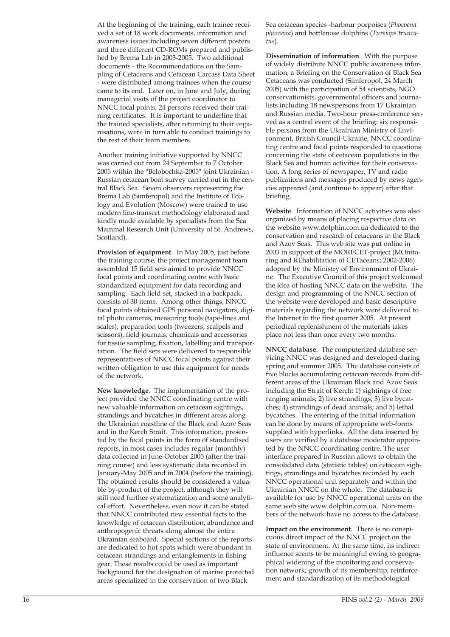At the beginning of the training, each trainee received a set of 18 work documents, information and awareness issues including seven different posters and three different CD-ROMs prepared and published by Brema Lab in 2003-2005. Two additional documents - the Recommendations on the Sampling of Cetaceans and Cetacean Carcass Data Sheet - were distributed among trainees when the course came to its end. Later on, in June and July, during managerial visits of the project coordinator to NNCC focal points, 24 persons received their training certificates. It is important to underline that the trained specialists, after returning to their organisations, were in turn able to conduct trainings to the rest of their team members.

Another training initiative supported by NNCC was carried out from 24 September to 7 October 2005 within the "Belobochka-2005" joint Ukrainian - Russian cetacean boat survey carried out in the central Black Sea. Seven observers representing the Brema Lab (Simferopol) and the Institute of Ecology and Evolution (Moscow) were trained to use modern line-transect methodology elaborated and kindly made available by specialists from the Sea Mammal Research Unit (University of St. Andrews, Scotland).

**Provision of equipment**. In May 2005, just before the training course, the project management team assembled 15 field sets aimed to provide NNCC focal points and coordinating centre with basic standardized equipment for data recording and sampling. Each field set, stacked in a backpack, consists of 30 items. Among other things, NNCC focal points obtained GPS personal navigators, digital photo cameras, measuring tools (tape-lines and scales), preparation tools (tweezers, scalpels and scissors), field journals, chemicals and accessories for tissue sampling, fixation, labelling and transportation. The field sets were delivered to responsible representatives of NNCC focal points against their written obligation to use this equipment for needs of the network.

**New knowledge**. The implementation of the project provided the NNCC coordinating centre with new valuable information on cetacean sightings, strandings and bycatches in different areas along the Ukrainian coastline of the Black and Azov Seas and in the Kerch Strait. This information, presented by the focal points in the form of standardised reports, in most cases includes regular (monthly) data collected in June-October 2005 (after the training course) and less systematic data recorded in January-May 2005 and in 2004 (before the training). The obtained results should be considered a valuable by-product of the project, although they will still need further systematization and some analytical effort. Nevertheless, even now it can be stated that NNCC contributed new essential facts to the knowledge of cetacean distribution, abundance and anthropogenic threats along almost the entire Ukrainian seaboard. Special sections of the reports are dedicated to hot spots which were abundant in cetacean strandings and entanglements in fishing gear. These results could be used as important background for the designation of marine protected areas specialized in the conservation of two Black

Sea cetacean species -harbour porpoises (*Phocoena phocoena*) and bottlenose dolphins (*Tursiops truncatus*).

**Dissemination of information**. With the purpose of widely distribute NNCC public awareness information, a Briefing on the Conservation of Black Sea Cetaceans was conducted (Simferopol, 24 March 2005) with the participation of 54 scientists, NGO conservationists, governmental officers and journalists including 18 newspersons from 17 Ukrainian and Russian media. Two-hour press-conference served as a central event of the briefing: six responsible persons from the Ukrainian Ministry of Environment, British Council-Ukraine, NNCC coordinating centre and focal points responded to questions concerning the state of cetacean populations in the Black Sea and human activities for their conservation. A long series of newspaper, TV and radio publications and messages produced by news agencies appeared (and continue to appear) after that briefing.

**Website**. Information of NNCC activities was also organized by means of placing respective data on the website www.dolphin.com.ua dedicated to the conservation and research of cetaceans in the Black and Azov Seas. This web site was put online in 2003 in support of the MORECET-project (MOnitoring and REhabilitation of CETaceans; 2002-2006) adopted by the Ministry of Environment of Ukraine. The Executive Council of this project welcomed the idea of hosting NNCC data on the website. The design and programming of the NNCC section of the website were developed and basic descriptive materials regarding the network were delivered to the Internet in the first quarter 2005. At present periodical replenishment of the materials takes place not less than once every two months.

**NNCC database**. The computerized database servicing NNCC was designed and developed during spring and summer 2005. The database consists of five blocks accumulating cetacean records from different areas of the Ukrainian Black and Azov Seas including the Strait of Kerch: 1) sightings of free ranging animals; 2) live strandings; 3) live bycatches; 4) strandings of dead animals; and 5) lethal bycatches. The entering of the initial information can be done by means of appropriate web-forms supplied with hyperlinks. All the data inserted by users are verified by a database moderator appointed by the NNCC coordinating centre. The user interface prepared in Russian allows to obtain the consolidated data (statistic tables) on cetacean sightings, strandings and bycatches recorded by each NNCC operational unit separately and within the Ukrainian NNCC on the whole. The database is available for use by NNCC operational units on the same web site www.dolphin.com.ua. Non-members of the network have no access to the database.

**Impact on the environment**. There is no conspicuous direct impact of the NNCC project on the state of environment. At the same time, its indirect influence seems to be meaningful owing to geographical widening of the monitoring and conservation network, growth of its membership, reinforcement and standardization of its methodological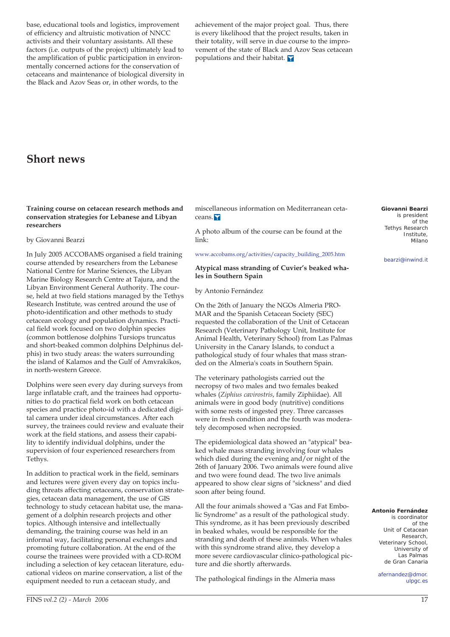base, educational tools and logistics, improvement of efficiency and altruistic motivation of NNCC activists and their voluntary assistants. All these factors (i.e. outputs of the project) ultimately lead to the amplification of public participation in environmentally concerned actions for the conservation of cetaceans and maintenance of biological diversity in the Black and Azov Seas or, in other words, to the

achievement of the major project goal. Thus, there is every likelihood that the project results, taken in their totality, will serve in due course to the improvement of the state of Black and Azov Seas cetacean populations and their habitat.

### **Short news**

### **Training course on cetacean research methods and conservation strategies for Lebanese and Libyan researchers**

### by Giovanni Bearzi

In July 2005 ACCOBAMS organised a field training course attended by researchers from the Lebanese National Centre for Marine Sciences, the Libyan Marine Biology Research Centre at Tajura, and the Libyan Environment General Authority. The course, held at two field stations managed by the Tethys Research Institute, was centred around the use of photo-identification and other methods to study cetacean ecology and population dynamics. Practical field work focused on two dolphin species (common bottlenose dolphins Tursiops truncatus and short-beaked common dolphins Delphinus delphis) in two study areas: the waters surrounding the island of Kalamos and the Gulf of Amvrakikos, in north-western Greece.

Dolphins were seen every day during surveys from large inflatable craft, and the trainees had opportunities to do practical field work on both cetacean species and practice photo-id with a dedicated digital camera under ideal circumstances. After each survey, the trainees could review and evaluate their work at the field stations, and assess their capability to identify individual dolphins, under the supervision of four experienced researchers from Tethys.

In addition to practical work in the field, seminars and lectures were given every day on topics including threats affecting cetaceans, conservation strategies, cetacean data management, the use of GIS technology to study cetacean habitat use, the management of a dolphin research projects and other topics. Although intensive and intellectually demanding, the training course was held in an informal way, facilitating personal exchanges and promoting future collaboration. At the end of the course the trainees were provided with a CD-ROM including a selection of key cetacean literature, educational videos on marine conservation, a list of the equipment needed to run a cetacean study, and

miscellaneous information on Mediterranean cetaceans.

A photo album of the course can be found at the link:

### www.accobams.org/activities/capacity\_building\_2005.htm

### **Atypical mass stranding of Cuvier's beaked whales in Southern Spain**

by Antonio Fernández

On the 26th of January the NGOs Almerìa PRO-MAR and the Spanish Cetacean Society (SEC) requested the collaboration of the Unit of Cetacean Research (Veterinary Pathology Unit, Institute for Animal Health, Veterinary School) from Las Palmas University in the Canary Islands, to conduct a pathological study of four whales that mass stranded on the Almerìa's coats in Southern Spain.

The veterinary pathologists carried out the necropsy of two males and two females beaked whales (*Ziphius cavirostris*, family Ziphiidae). All animals were in good body (nutritive) conditions with some rests of ingested prey. Three carcasses were in fresh condition and the fourth was moderately decomposed when necropsied.

The epidemiological data showed an "atypical" beaked whale mass stranding involving four whales which died during the evening and/or night of the 26th of January 2006. Two animals were found alive and two were found dead. The two live animals appeared to show clear signs of "sickness" and died soon after being found.

All the four animals showed a "Gas and Fat Embolic Syndrome" as a result of the pathological study. This syndrome, as it has been previously described in beaked whales, would be responsible for the stranding and death of these animals. When whales with this syndrome strand alive, they develop a more severe cardiovascular clinico-pathological picture and die shortly afterwards.

The pathological findings in the Almerìa mass

**Giovanni Bearzi**  is president of the Tethys Research Institute, Milano

bearzi@inwind.it

#### **Antonio Fernández**  is coordinator of the Unit of Cetacean Research, Veterinary School, University of Las Palmas de Gran Canaria

afernandez@dmor. ulpgc.es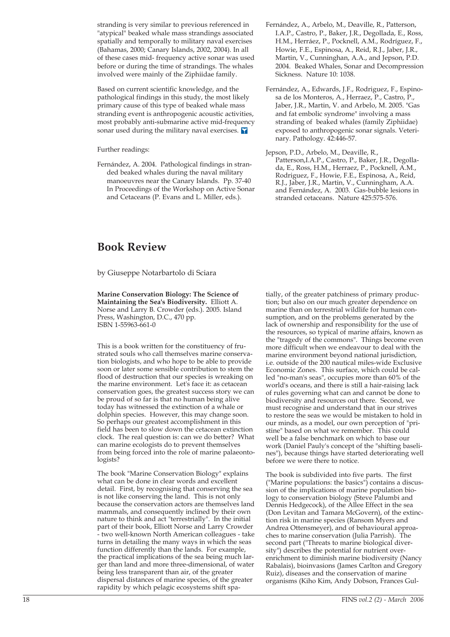stranding is very similar to previous referenced in "atypical" beaked whale mass strandings associated spatially and temporally to military naval exercises (Bahamas, 2000; Canary Islands, 2002, 2004). In all of these cases mid- frequency active sonar was used before or during the time of strandings. The whales involved were mainly of the Ziphiidae family.

Based on current scientific knowledge, and the pathological findings in this study, the most likely primary cause of this type of beaked whale mass stranding event is anthropogenic acoustic activities, most probably anti-submarine active mid-frequency sonar used during the military naval exercises.

Further readings:

Fernández, A. 2004. Pathological findings in stranded beaked whales during the naval military manoeuvres near the Canary Islands. Pp. 37-40 In Proceedings of the Workshop on Active Sonar and Cetaceans (P. Evans and L. Miller, eds.).

# **Book Review**

by Giuseppe Notarbartolo di Sciara

**Marine Conservation Biology: The Science of Maintaining the Sea's Biodiversity.** Elliott A. Norse and Larry B. Crowder (eds.). 2005. Island Press, Washington, D.C., 470 pp. ISBN 1-55963-661-0

This is a book written for the constituency of frustrated souls who call themselves marine conservation biologists, and who hope to be able to provide soon or later some sensible contribution to stem the flood of destruction that our species is wreaking on the marine environment. Let's face it: as cetacean conservation goes, the greatest success story we can be proud of so far is that no human being alive today has witnessed the extinction of a whale or dolphin species. However, this may change soon. So perhaps our greatest accomplishment in this field has been to slow down the cetacean extinction clock. The real question is: can we do better? What can marine ecologists do to prevent themselves from being forced into the role of marine palaeontologists?

The book "Marine Conservation Biology" explains what can be done in clear words and excellent detail. First, by recognising that conserving the sea is not like conserving the land. This is not only because the conservation actors are themselves land mammals, and consequently inclined by their own nature to think and act "terrestrially". In the initial part of their book, Elliott Norse and Larry Crowder - two well-known North American colleagues - take turns in detailing the many ways in which the seas function differently than the lands. For example, the practical implications of the sea being much larger than land and more three-dimensional, of water being less transparent than air, of the greater dispersal distances of marine species, of the greater rapidity by which pelagic ecosystems shift spa-

- Fernández, A., Arbelo, M., Deaville, R., Patterson, I.A.P., Castro, P., Baker, J.R., Degollada, E., Ross, H.M., Herráez, P., Pocknell, A.M., Rodríguez, F., Howie, F.E., Espinosa, A., Reid, R.J., Jaber, J.R., Martin, V., Cunninghan, A.A., and Jepson, P.D. 2004. Beaked Whales, Sonar and Decompression Sickness. Nature 10: 1038.
- Fernández, A., Edwards, J.F., Rodriguez, F., Espinosa de los Monteros, A., Herraez, P., Castro, P., Jaber, J.R., Martin, V. and Arbelo, M. 2005. "Gas and fat embolic syndrome" involving a mass stranding of beaked whales (family Ziphiidae) exposed to anthropogenic sonar signals. Veterinary. Pathology. 42:446-57.
- Jepson, P.D., Arbelo, M., Deaville, R., Patterson,I.A.P., Castro, P., Baker, J.R., Degollada, E., Ross, H.M., Herraez, P., Pocknell, A.M., Rodriguez, F., Howie, F.E., Espinosa, A., Reid, R.J., Jaber, J.R., Martin, V., Cunningham, A.A. and Fernández, A. 2003. Gas-bubble lesions in stranded cetaceans. Nature 425:575-576.

tially, of the greater patchiness of primary production; but also on our much greater dependence on marine than on terrestrial wildlife for human consumption, and on the problems generated by the lack of ownership and responsibility for the use of the resources, so typical of marine affairs, known as the "tragedy of the commons". Things become even more difficult when we endeavour to deal with the marine environment beyond national jurisdiction, i.e. outside of the 200 nautical miles-wide Exclusive Economic Zones. This surface, which could be called "no-man's seas", occupies more than 60% of the world's oceans, and there is still a hair-raising lack of rules governing what can and cannot be done to biodiversity and resources out there. Second, we must recognise and understand that in our strives to restore the seas we would be mistaken to hold in our minds, as a model, our own perception of "pristine" based on what we remember. This could well be a false benchmark on which to base our work (Daniel Pauly's concept of the "shifting baselines"), because things have started deteriorating well before we were there to notice.

The book is subdivided into five parts. The first ("Marine populations: the basics") contains a discussion of the implications of marine population biology to conservation biology (Steve Palumbi and Dennis Hedgecock), of the Allee Effect in the sea (Don Levitan and Tamara McGovern), of the extinction risk in marine species (Ransom Myers and Andrea Ottensmeyer), and of behavioural approaches to marine conservation (Julia Parrish). The second part ("Threats to marine biological diversity") describes the potential for nutrient overenrichment to diminish marine biodiversity (Nancy Rabalais), bioinvasions (James Carlton and Gregory Ruiz), diseases and the conservation of marine organisms (Kiho Kim, Andy Dobson, Frances Gul-